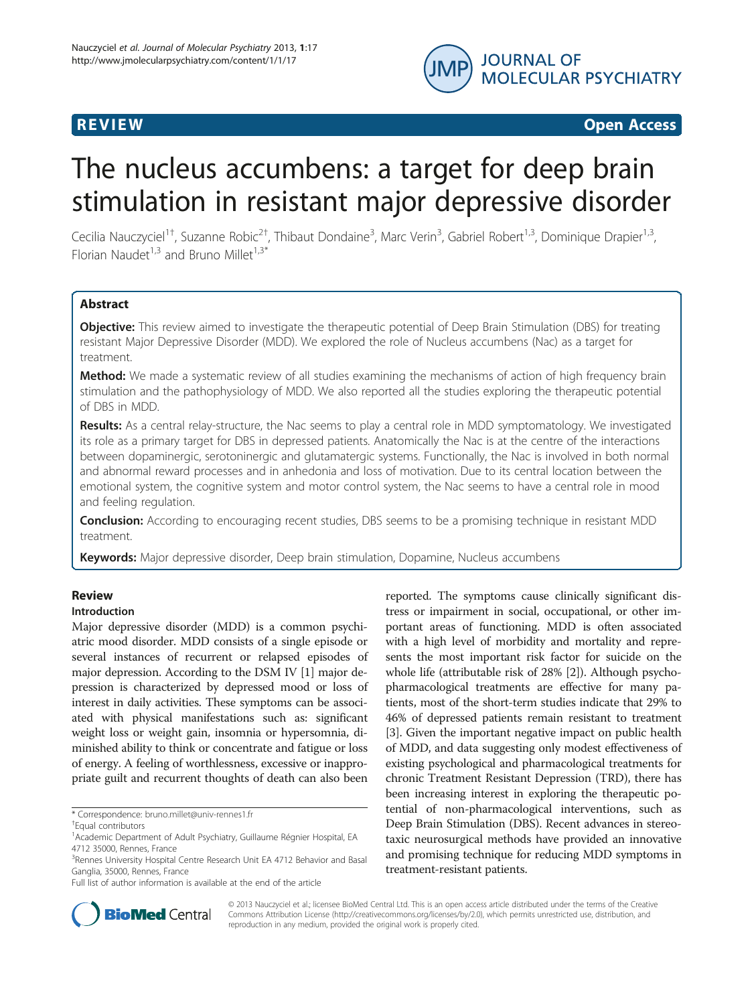

## R EVI EW OPEN ACCESS OF THE EW OPEN ACCESS OF THE EWO ARE THE EWO ARE THE EWO ARE THE EWO ARE THE EWO ARE THE

# The nucleus accumbens: a target for deep brain stimulation in resistant major depressive disorder

Cecilia Nauczyciel<sup>1†</sup>, Suzanne Robic<sup>2†</sup>, Thibaut Dondaine<sup>3</sup>, Marc Verin<sup>3</sup>, Gabriel Robert<sup>1,3</sup>, Dominique Drapier<sup>1,3</sup>, Florian Naudet<sup>1,3</sup> and Bruno Millet<sup>1,3\*</sup>

## **Abstract**

**Objective:** This review aimed to investigate the therapeutic potential of Deep Brain Stimulation (DBS) for treating resistant Major Depressive Disorder (MDD). We explored the role of Nucleus accumbens (Nac) as a target for treatment.

Method: We made a systematic review of all studies examining the mechanisms of action of high frequency brain stimulation and the pathophysiology of MDD. We also reported all the studies exploring the therapeutic potential of DBS in MDD.

Results: As a central relay-structure, the Nac seems to play a central role in MDD symptomatology. We investigated its role as a primary target for DBS in depressed patients. Anatomically the Nac is at the centre of the interactions between dopaminergic, serotoninergic and glutamatergic systems. Functionally, the Nac is involved in both normal and abnormal reward processes and in anhedonia and loss of motivation. Due to its central location between the emotional system, the cognitive system and motor control system, the Nac seems to have a central role in mood and feeling regulation.

Conclusion: According to encouraging recent studies, DBS seems to be a promising technique in resistant MDD treatment.

Keywords: Major depressive disorder, Deep brain stimulation, Dopamine, Nucleus accumbens

## **Review**

## Introduction

Major depressive disorder (MDD) is a common psychiatric mood disorder. MDD consists of a single episode or several instances of recurrent or relapsed episodes of major depression. According to the DSM IV [[1](#page-8-0)] major depression is characterized by depressed mood or loss of interest in daily activities. These symptoms can be associated with physical manifestations such as: significant weight loss or weight gain, insomnia or hypersomnia, diminished ability to think or concentrate and fatigue or loss of energy. A feeling of worthlessness, excessive or inappropriate guilt and recurrent thoughts of death can also been

\* Correspondence: [bruno.millet@univ-rennes1.fr](mailto:bruno.millet@univ-rennes1.fr) †

reported. The symptoms cause clinically significant distress or impairment in social, occupational, or other important areas of functioning. MDD is often associated with a high level of morbidity and mortality and represents the most important risk factor for suicide on the whole life (attributable risk of 28% [\[2](#page-8-0)]). Although psychopharmacological treatments are effective for many patients, most of the short-term studies indicate that 29% to 46% of depressed patients remain resistant to treatment [[3\]](#page-8-0). Given the important negative impact on public health of MDD, and data suggesting only modest effectiveness of existing psychological and pharmacological treatments for chronic Treatment Resistant Depression (TRD), there has been increasing interest in exploring the therapeutic potential of non-pharmacological interventions, such as Deep Brain Stimulation (DBS). Recent advances in stereotaxic neurosurgical methods have provided an innovative and promising technique for reducing MDD symptoms in treatment-resistant patients.



© 2013 Nauczyciel et al.; licensee BioMed Central Ltd. This is an open access article distributed under the terms of the Creative Commons Attribution License [\(http://creativecommons.org/licenses/by/2.0\)](http://creativecommons.org/licenses/by/2.0), which permits unrestricted use, distribution, and reproduction in any medium, provided the original work is properly cited.

Equal contributors

<sup>&</sup>lt;sup>1</sup> Academic Department of Adult Psychiatry, Guillaume Régnier Hospital, EA 4712 35000, Rennes, France

<sup>&</sup>lt;sup>3</sup> Rennes University Hospital Centre Research Unit EA 4712 Behavior and Basal Ganglia, 35000, Rennes, France

Full list of author information is available at the end of the article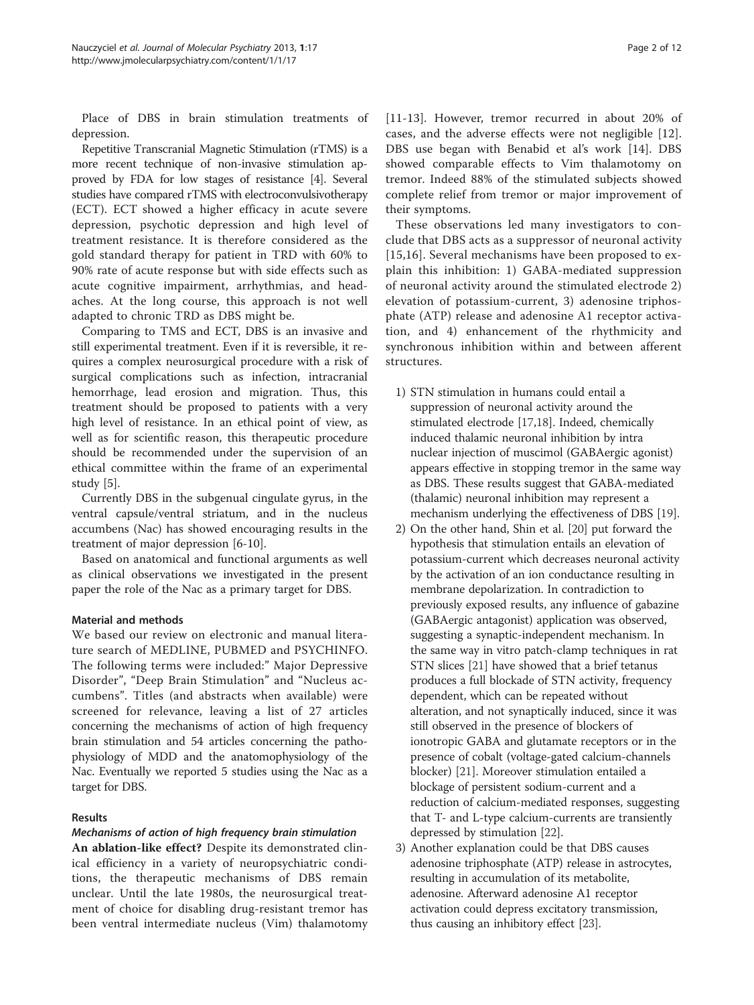Place of DBS in brain stimulation treatments of depression.

Repetitive Transcranial Magnetic Stimulation (rTMS) is a more recent technique of non-invasive stimulation approved by FDA for low stages of resistance [\[4\]](#page-9-0). Several studies have compared rTMS with electroconvulsivotherapy (ECT). ECT showed a higher efficacy in acute severe depression, psychotic depression and high level of treatment resistance. It is therefore considered as the gold standard therapy for patient in TRD with 60% to 90% rate of acute response but with side effects such as acute cognitive impairment, arrhythmias, and headaches. At the long course, this approach is not well adapted to chronic TRD as DBS might be.

Comparing to TMS and ECT, DBS is an invasive and still experimental treatment. Even if it is reversible, it requires a complex neurosurgical procedure with a risk of surgical complications such as infection, intracranial hemorrhage, lead erosion and migration. Thus, this treatment should be proposed to patients with a very high level of resistance. In an ethical point of view, as well as for scientific reason, this therapeutic procedure should be recommended under the supervision of an ethical committee within the frame of an experimental study [[5\]](#page-9-0).

Currently DBS in the subgenual cingulate gyrus, in the ventral capsule/ventral striatum, and in the nucleus accumbens (Nac) has showed encouraging results in the treatment of major depression [[6-10](#page-9-0)].

Based on anatomical and functional arguments as well as clinical observations we investigated in the present paper the role of the Nac as a primary target for DBS.

## Material and methods

We based our review on electronic and manual literature search of MEDLINE, PUBMED and PSYCHINFO. The following terms were included:" Major Depressive Disorder", "Deep Brain Stimulation" and "Nucleus accumbens". Titles (and abstracts when available) were screened for relevance, leaving a list of 27 articles concerning the mechanisms of action of high frequency brain stimulation and 54 articles concerning the pathophysiology of MDD and the anatomophysiology of the Nac. Eventually we reported 5 studies using the Nac as a target for DBS.

## Results

#### Mechanisms of action of high frequency brain stimulation

An ablation-like effect? Despite its demonstrated clinical efficiency in a variety of neuropsychiatric conditions, the therapeutic mechanisms of DBS remain unclear. Until the late 1980s, the neurosurgical treatment of choice for disabling drug-resistant tremor has been ventral intermediate nucleus (Vim) thalamotomy [[11](#page-9-0)-[13\]](#page-9-0). However, tremor recurred in about 20% of cases, and the adverse effects were not negligible [\[12](#page-9-0)]. DBS use began with Benabid et al's work [[14\]](#page-9-0). DBS showed comparable effects to Vim thalamotomy on tremor. Indeed 88% of the stimulated subjects showed complete relief from tremor or major improvement of their symptoms.

These observations led many investigators to conclude that DBS acts as a suppressor of neuronal activity [[15](#page-9-0),[16\]](#page-9-0). Several mechanisms have been proposed to explain this inhibition: 1) GABA-mediated suppression of neuronal activity around the stimulated electrode 2) elevation of potassium-current, 3) adenosine triphosphate (ATP) release and adenosine A1 receptor activation, and 4) enhancement of the rhythmicity and synchronous inhibition within and between afferent structures.

- 1) STN stimulation in humans could entail a suppression of neuronal activity around the stimulated electrode [\[17,18\]](#page-9-0). Indeed, chemically induced thalamic neuronal inhibition by intra nuclear injection of muscimol (GABAergic agonist) appears effective in stopping tremor in the same way as DBS. These results suggest that GABA-mediated (thalamic) neuronal inhibition may represent a mechanism underlying the effectiveness of DBS [\[19\]](#page-9-0).
- 2) On the other hand, Shin et al. [[20](#page-9-0)] put forward the hypothesis that stimulation entails an elevation of potassium-current which decreases neuronal activity by the activation of an ion conductance resulting in membrane depolarization. In contradiction to previously exposed results, any influence of gabazine (GABAergic antagonist) application was observed, suggesting a synaptic-independent mechanism. In the same way in vitro patch-clamp techniques in rat STN slices [\[21\]](#page-9-0) have showed that a brief tetanus produces a full blockade of STN activity, frequency dependent, which can be repeated without alteration, and not synaptically induced, since it was still observed in the presence of blockers of ionotropic GABA and glutamate receptors or in the presence of cobalt (voltage-gated calcium-channels blocker) [\[21\]](#page-9-0). Moreover stimulation entailed a blockage of persistent sodium-current and a reduction of calcium-mediated responses, suggesting that T- and L-type calcium-currents are transiently depressed by stimulation [\[22\]](#page-9-0).
- 3) Another explanation could be that DBS causes adenosine triphosphate (ATP) release in astrocytes, resulting in accumulation of its metabolite, adenosine. Afterward adenosine A1 receptor activation could depress excitatory transmission, thus causing an inhibitory effect [\[23\]](#page-9-0).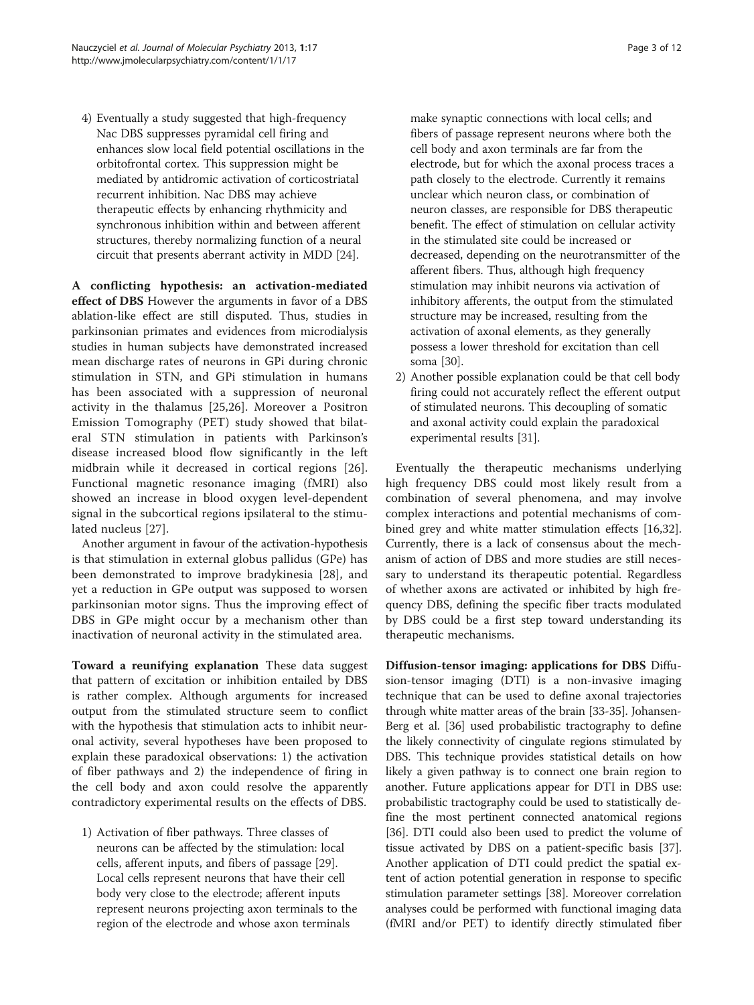4) Eventually a study suggested that high-frequency Nac DBS suppresses pyramidal cell firing and enhances slow local field potential oscillations in the orbitofrontal cortex. This suppression might be mediated by antidromic activation of corticostriatal recurrent inhibition. Nac DBS may achieve therapeutic effects by enhancing rhythmicity and synchronous inhibition within and between afferent structures, thereby normalizing function of a neural circuit that presents aberrant activity in MDD [[24](#page-9-0)].

A conflicting hypothesis: an activation-mediated effect of DBS However the arguments in favor of a DBS ablation-like effect are still disputed. Thus, studies in parkinsonian primates and evidences from microdialysis studies in human subjects have demonstrated increased mean discharge rates of neurons in GPi during chronic stimulation in STN, and GPi stimulation in humans has been associated with a suppression of neuronal activity in the thalamus [\[25,26](#page-9-0)]. Moreover a Positron Emission Tomography (PET) study showed that bilateral STN stimulation in patients with Parkinson's disease increased blood flow significantly in the left midbrain while it decreased in cortical regions [[26](#page-9-0)]. Functional magnetic resonance imaging (fMRI) also showed an increase in blood oxygen level-dependent signal in the subcortical regions ipsilateral to the stimulated nucleus [[27\]](#page-9-0).

Another argument in favour of the activation-hypothesis is that stimulation in external globus pallidus (GPe) has been demonstrated to improve bradykinesia [\[28](#page-9-0)], and yet a reduction in GPe output was supposed to worsen parkinsonian motor signs. Thus the improving effect of DBS in GPe might occur by a mechanism other than inactivation of neuronal activity in the stimulated area.

Toward a reunifying explanation These data suggest that pattern of excitation or inhibition entailed by DBS is rather complex. Although arguments for increased output from the stimulated structure seem to conflict with the hypothesis that stimulation acts to inhibit neuronal activity, several hypotheses have been proposed to explain these paradoxical observations: 1) the activation of fiber pathways and 2) the independence of firing in the cell body and axon could resolve the apparently contradictory experimental results on the effects of DBS.

1) Activation of fiber pathways. Three classes of neurons can be affected by the stimulation: local cells, afferent inputs, and fibers of passage [\[29\]](#page-9-0). Local cells represent neurons that have their cell body very close to the electrode; afferent inputs represent neurons projecting axon terminals to the region of the electrode and whose axon terminals

make synaptic connections with local cells; and fibers of passage represent neurons where both the cell body and axon terminals are far from the electrode, but for which the axonal process traces a path closely to the electrode. Currently it remains unclear which neuron class, or combination of neuron classes, are responsible for DBS therapeutic benefit. The effect of stimulation on cellular activity in the stimulated site could be increased or decreased, depending on the neurotransmitter of the afferent fibers. Thus, although high frequency stimulation may inhibit neurons via activation of inhibitory afferents, the output from the stimulated structure may be increased, resulting from the activation of axonal elements, as they generally possess a lower threshold for excitation than cell soma [[30](#page-9-0)].

2) Another possible explanation could be that cell body firing could not accurately reflect the efferent output of stimulated neurons. This decoupling of somatic and axonal activity could explain the paradoxical experimental results [[31](#page-9-0)].

Eventually the therapeutic mechanisms underlying high frequency DBS could most likely result from a combination of several phenomena, and may involve complex interactions and potential mechanisms of combined grey and white matter stimulation effects [\[16,32](#page-9-0)]. Currently, there is a lack of consensus about the mechanism of action of DBS and more studies are still necessary to understand its therapeutic potential. Regardless of whether axons are activated or inhibited by high frequency DBS, defining the specific fiber tracts modulated by DBS could be a first step toward understanding its therapeutic mechanisms.

Diffusion-tensor imaging: applications for DBS Diffusion-tensor imaging (DTI) is a non-invasive imaging technique that can be used to define axonal trajectories through white matter areas of the brain [\[33-35](#page-9-0)]. Johansen-Berg et al. [[36](#page-9-0)] used probabilistic tractography to define the likely connectivity of cingulate regions stimulated by DBS. This technique provides statistical details on how likely a given pathway is to connect one brain region to another. Future applications appear for DTI in DBS use: probabilistic tractography could be used to statistically define the most pertinent connected anatomical regions [[36](#page-9-0)]. DTI could also been used to predict the volume of tissue activated by DBS on a patient-specific basis [[37](#page-9-0)]. Another application of DTI could predict the spatial extent of action potential generation in response to specific stimulation parameter settings [\[38\]](#page-9-0). Moreover correlation analyses could be performed with functional imaging data (fMRI and/or PET) to identify directly stimulated fiber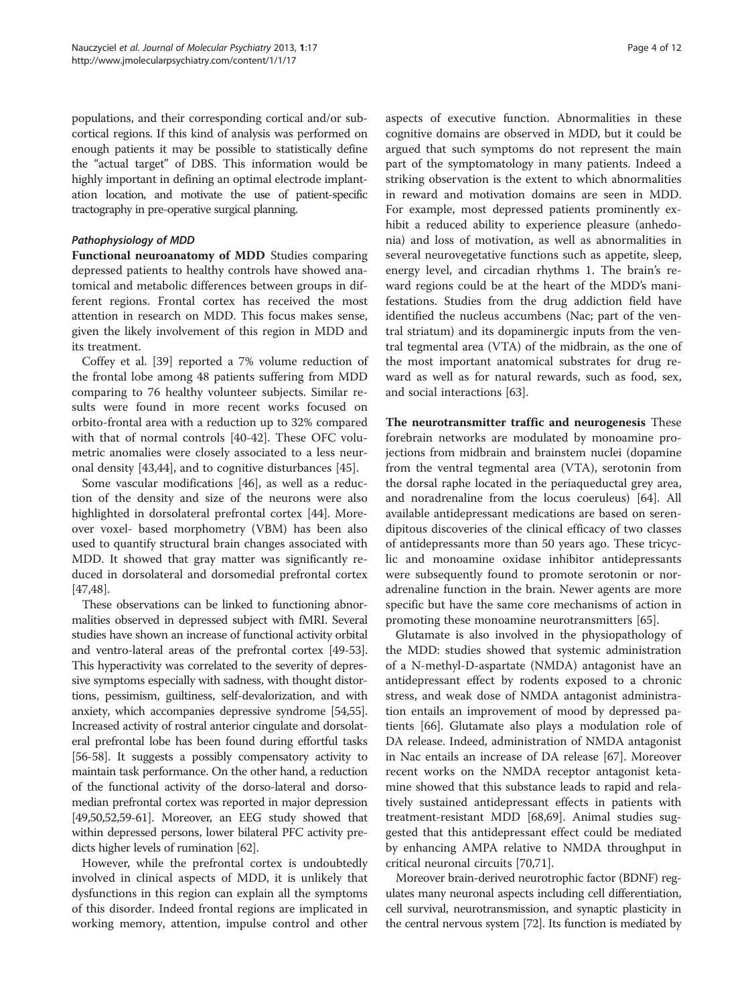populations, and their corresponding cortical and/or subcortical regions. If this kind of analysis was performed on enough patients it may be possible to statistically define the "actual target" of DBS. This information would be highly important in defining an optimal electrode implantation location, and motivate the use of patient-specific tractography in pre-operative surgical planning.

#### Pathophysiology of MDD

Functional neuroanatomy of MDD Studies comparing depressed patients to healthy controls have showed anatomical and metabolic differences between groups in different regions. Frontal cortex has received the most attention in research on MDD. This focus makes sense, given the likely involvement of this region in MDD and its treatment.

Coffey et al. [[39](#page-9-0)] reported a 7% volume reduction of the frontal lobe among 48 patients suffering from MDD comparing to 76 healthy volunteer subjects. Similar results were found in more recent works focused on orbito-frontal area with a reduction up to 32% compared with that of normal controls [[40-42](#page-9-0)]. These OFC volumetric anomalies were closely associated to a less neuronal density [\[43,44\]](#page-9-0), and to cognitive disturbances [\[45](#page-9-0)].

Some vascular modifications [\[46](#page-9-0)], as well as a reduction of the density and size of the neurons were also highlighted in dorsolateral prefrontal cortex [[44\]](#page-9-0). Moreover voxel- based morphometry (VBM) has been also used to quantify structural brain changes associated with MDD. It showed that gray matter was significantly reduced in dorsolateral and dorsomedial prefrontal cortex [[47,48\]](#page-9-0).

These observations can be linked to functioning abnormalities observed in depressed subject with fMRI. Several studies have shown an increase of functional activity orbital and ventro-lateral areas of the prefrontal cortex [\[49](#page-9-0)-[53](#page-9-0)]. This hyperactivity was correlated to the severity of depressive symptoms especially with sadness, with thought distortions, pessimism, guiltiness, self-devalorization, and with anxiety, which accompanies depressive syndrome [\[54,55](#page-9-0)]. Increased activity of rostral anterior cingulate and dorsolateral prefrontal lobe has been found during effortful tasks [[56](#page-9-0)-[58](#page-9-0)]. It suggests a possibly compensatory activity to maintain task performance. On the other hand, a reduction of the functional activity of the dorso-lateral and dorsomedian prefrontal cortex was reported in major depression [[49,50,52](#page-9-0)[,59-61\]](#page-10-0). Moreover, an EEG study showed that within depressed persons, lower bilateral PFC activity predicts higher levels of rumination [\[62](#page-10-0)].

However, while the prefrontal cortex is undoubtedly involved in clinical aspects of MDD, it is unlikely that dysfunctions in this region can explain all the symptoms of this disorder. Indeed frontal regions are implicated in working memory, attention, impulse control and other

aspects of executive function. Abnormalities in these cognitive domains are observed in MDD, but it could be argued that such symptoms do not represent the main part of the symptomatology in many patients. Indeed a striking observation is the extent to which abnormalities in reward and motivation domains are seen in MDD. For example, most depressed patients prominently exhibit a reduced ability to experience pleasure (anhedonia) and loss of motivation, as well as abnormalities in several neurovegetative functions such as appetite, sleep, energy level, and circadian rhythms 1. The brain's reward regions could be at the heart of the MDD's manifestations. Studies from the drug addiction field have identified the nucleus accumbens (Nac; part of the ventral striatum) and its dopaminergic inputs from the ventral tegmental area (VTA) of the midbrain, as the one of the most important anatomical substrates for drug reward as well as for natural rewards, such as food, sex, and social interactions [[63](#page-10-0)].

The neurotransmitter traffic and neurogenesis These forebrain networks are modulated by monoamine projections from midbrain and brainstem nuclei (dopamine from the ventral tegmental area (VTA), serotonin from the dorsal raphe located in the periaqueductal grey area, and noradrenaline from the locus coeruleus) [\[64](#page-10-0)]. All available antidepressant medications are based on serendipitous discoveries of the clinical efficacy of two classes of antidepressants more than 50 years ago. These tricyclic and monoamine oxidase inhibitor antidepressants were subsequently found to promote serotonin or noradrenaline function in the brain. Newer agents are more specific but have the same core mechanisms of action in promoting these monoamine neurotransmitters [[65\]](#page-10-0).

Glutamate is also involved in the physiopathology of the MDD: studies showed that systemic administration of a N-methyl-D-aspartate (NMDA) antagonist have an antidepressant effect by rodents exposed to a chronic stress, and weak dose of NMDA antagonist administration entails an improvement of mood by depressed patients [\[66](#page-10-0)]. Glutamate also plays a modulation role of DA release. Indeed, administration of NMDA antagonist in Nac entails an increase of DA release [[67\]](#page-10-0). Moreover recent works on the NMDA receptor antagonist ketamine showed that this substance leads to rapid and relatively sustained antidepressant effects in patients with treatment-resistant MDD [[68,69\]](#page-10-0). Animal studies suggested that this antidepressant effect could be mediated by enhancing AMPA relative to NMDA throughput in critical neuronal circuits [[70](#page-10-0),[71](#page-10-0)].

Moreover brain-derived neurotrophic factor (BDNF) regulates many neuronal aspects including cell differentiation, cell survival, neurotransmission, and synaptic plasticity in the central nervous system [\[72\]](#page-10-0). Its function is mediated by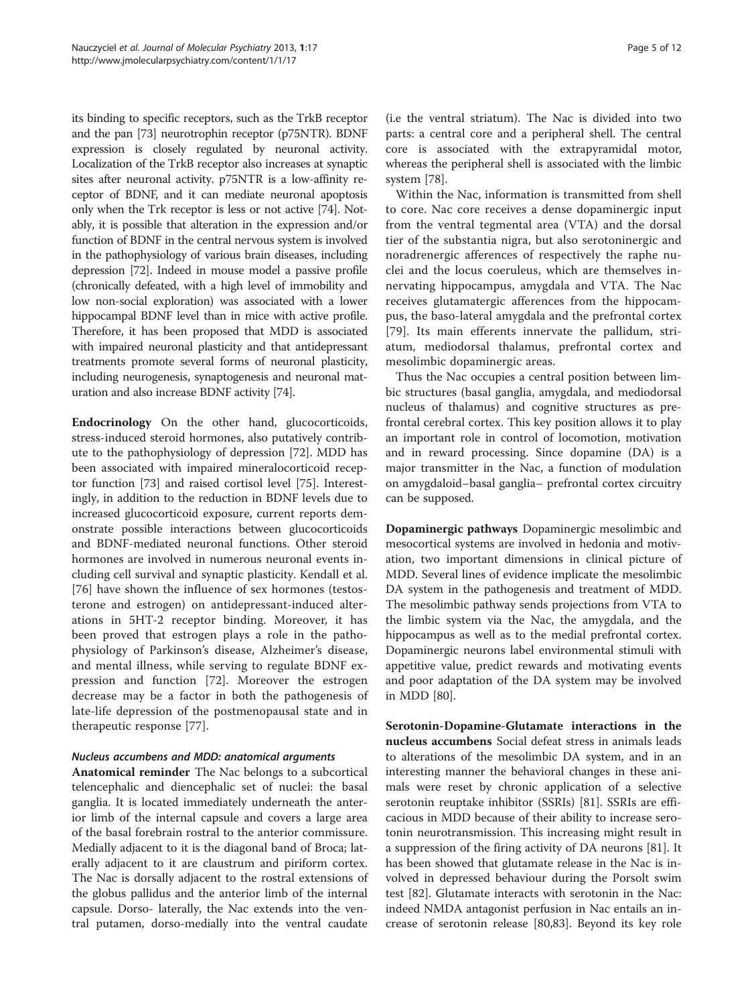its binding to specific receptors, such as the TrkB receptor and the pan [\[73\]](#page-10-0) neurotrophin receptor (p75NTR). BDNF expression is closely regulated by neuronal activity. Localization of the TrkB receptor also increases at synaptic sites after neuronal activity. p75NTR is a low-affinity receptor of BDNF, and it can mediate neuronal apoptosis only when the Trk receptor is less or not active [\[74\]](#page-10-0). Notably, it is possible that alteration in the expression and/or function of BDNF in the central nervous system is involved in the pathophysiology of various brain diseases, including depression [[72](#page-10-0)]. Indeed in mouse model a passive profile (chronically defeated, with a high level of immobility and low non-social exploration) was associated with a lower hippocampal BDNF level than in mice with active profile. Therefore, it has been proposed that MDD is associated with impaired neuronal plasticity and that antidepressant treatments promote several forms of neuronal plasticity, including neurogenesis, synaptogenesis and neuronal maturation and also increase BDNF activity [[74](#page-10-0)].

Endocrinology On the other hand, glucocorticoids, stress-induced steroid hormones, also putatively contribute to the pathophysiology of depression [[72\]](#page-10-0). MDD has been associated with impaired mineralocorticoid receptor function [[73\]](#page-10-0) and raised cortisol level [[75\]](#page-10-0). Interestingly, in addition to the reduction in BDNF levels due to increased glucocorticoid exposure, current reports demonstrate possible interactions between glucocorticoids and BDNF-mediated neuronal functions. Other steroid hormones are involved in numerous neuronal events including cell survival and synaptic plasticity. Kendall et al. [[76\]](#page-10-0) have shown the influence of sex hormones (testosterone and estrogen) on antidepressant-induced alterations in 5HT-2 receptor binding. Moreover, it has been proved that estrogen plays a role in the pathophysiology of Parkinson's disease, Alzheimer's disease, and mental illness, while serving to regulate BDNF expression and function [\[72](#page-10-0)]. Moreover the estrogen decrease may be a factor in both the pathogenesis of late-life depression of the postmenopausal state and in therapeutic response [[77\]](#page-10-0).

## Nucleus accumbens and MDD: anatomical arguments

Anatomical reminder The Nac belongs to a subcortical telencephalic and diencephalic set of nuclei: the basal ganglia. It is located immediately underneath the anterior limb of the internal capsule and covers a large area of the basal forebrain rostral to the anterior commissure. Medially adjacent to it is the diagonal band of Broca; laterally adjacent to it are claustrum and piriform cortex. The Nac is dorsally adjacent to the rostral extensions of the globus pallidus and the anterior limb of the internal capsule. Dorso- laterally, the Nac extends into the ventral putamen, dorso-medially into the ventral caudate

(i.e the ventral striatum). The Nac is divided into two parts: a central core and a peripheral shell. The central core is associated with the extrapyramidal motor, whereas the peripheral shell is associated with the limbic system [[78](#page-10-0)].

Within the Nac, information is transmitted from shell to core. Nac core receives a dense dopaminergic input from the ventral tegmental area (VTA) and the dorsal tier of the substantia nigra, but also serotoninergic and noradrenergic afferences of respectively the raphe nuclei and the locus coeruleus, which are themselves innervating hippocampus, amygdala and VTA. The Nac receives glutamatergic afferences from the hippocampus, the baso-lateral amygdala and the prefrontal cortex [[79](#page-10-0)]. Its main efferents innervate the pallidum, striatum, mediodorsal thalamus, prefrontal cortex and mesolimbic dopaminergic areas.

Thus the Nac occupies a central position between limbic structures (basal ganglia, amygdala, and mediodorsal nucleus of thalamus) and cognitive structures as prefrontal cerebral cortex. This key position allows it to play an important role in control of locomotion, motivation and in reward processing. Since dopamine (DA) is a major transmitter in the Nac, a function of modulation on amygdaloid–basal ganglia– prefrontal cortex circuitry can be supposed.

Dopaminergic pathways Dopaminergic mesolimbic and mesocortical systems are involved in hedonia and motivation, two important dimensions in clinical picture of MDD. Several lines of evidence implicate the mesolimbic DA system in the pathogenesis and treatment of MDD. The mesolimbic pathway sends projections from VTA to the limbic system via the Nac, the amygdala, and the hippocampus as well as to the medial prefrontal cortex. Dopaminergic neurons label environmental stimuli with appetitive value, predict rewards and motivating events and poor adaptation of the DA system may be involved in MDD [\[80](#page-10-0)].

Serotonin-Dopamine-Glutamate interactions in the nucleus accumbens Social defeat stress in animals leads to alterations of the mesolimbic DA system, and in an interesting manner the behavioral changes in these animals were reset by chronic application of a selective serotonin reuptake inhibitor (SSRIs) [\[81\]](#page-10-0). SSRIs are efficacious in MDD because of their ability to increase serotonin neurotransmission. This increasing might result in a suppression of the firing activity of DA neurons [\[81\]](#page-10-0). It has been showed that glutamate release in the Nac is involved in depressed behaviour during the Porsolt swim test [[82\]](#page-10-0). Glutamate interacts with serotonin in the Nac: indeed NMDA antagonist perfusion in Nac entails an increase of serotonin release [[80,83\]](#page-10-0). Beyond its key role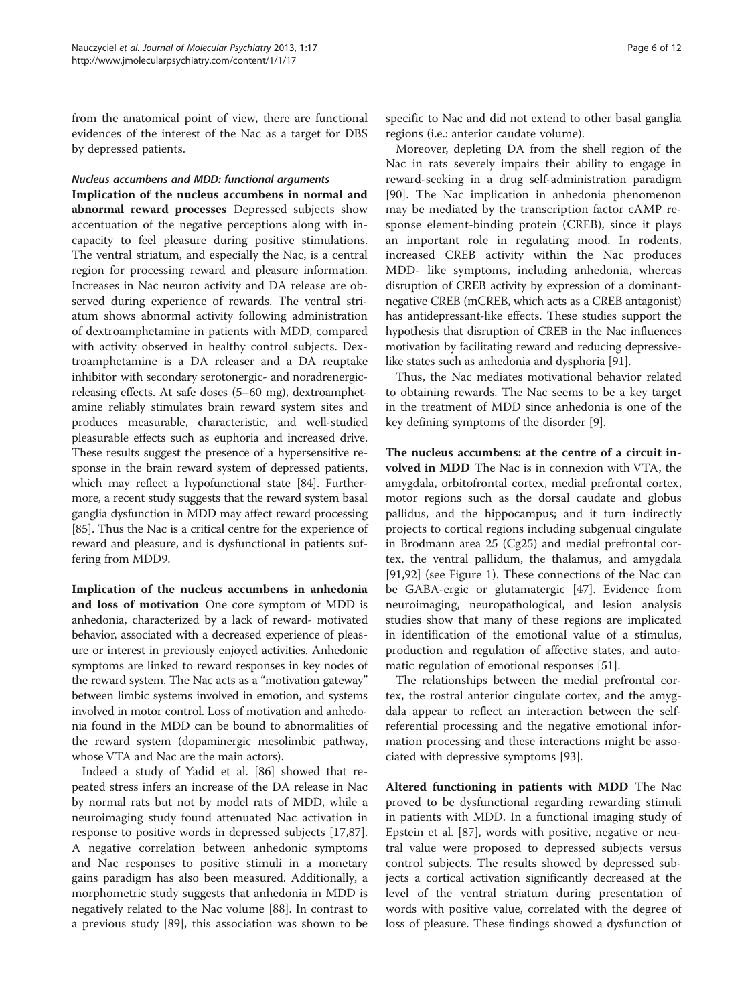from the anatomical point of view, there are functional evidences of the interest of the Nac as a target for DBS by depressed patients.

#### Nucleus accumbens and MDD: functional arguments

Implication of the nucleus accumbens in normal and abnormal reward processes Depressed subjects show accentuation of the negative perceptions along with incapacity to feel pleasure during positive stimulations. The ventral striatum, and especially the Nac, is a central region for processing reward and pleasure information. Increases in Nac neuron activity and DA release are observed during experience of rewards. The ventral striatum shows abnormal activity following administration of dextroamphetamine in patients with MDD, compared with activity observed in healthy control subjects. Dextroamphetamine is a DA releaser and a DA reuptake inhibitor with secondary serotonergic- and noradrenergicreleasing effects. At safe doses (5–60 mg), dextroamphetamine reliably stimulates brain reward system sites and produces measurable, characteristic, and well-studied pleasurable effects such as euphoria and increased drive. These results suggest the presence of a hypersensitive response in the brain reward system of depressed patients, which may reflect a hypofunctional state [\[84](#page-10-0)]. Furthermore, a recent study suggests that the reward system basal ganglia dysfunction in MDD may affect reward processing [[85](#page-10-0)]. Thus the Nac is a critical centre for the experience of reward and pleasure, and is dysfunctional in patients suffering from MDD9.

Implication of the nucleus accumbens in anhedonia and loss of motivation One core symptom of MDD is anhedonia, characterized by a lack of reward- motivated behavior, associated with a decreased experience of pleasure or interest in previously enjoyed activities. Anhedonic symptoms are linked to reward responses in key nodes of the reward system. The Nac acts as a "motivation gateway" between limbic systems involved in emotion, and systems involved in motor control. Loss of motivation and anhedonia found in the MDD can be bound to abnormalities of the reward system (dopaminergic mesolimbic pathway, whose VTA and Nac are the main actors).

Indeed a study of Yadid et al. [\[86](#page-10-0)] showed that repeated stress infers an increase of the DA release in Nac by normal rats but not by model rats of MDD, while a neuroimaging study found attenuated Nac activation in response to positive words in depressed subjects [\[17](#page-9-0)[,87](#page-10-0)]. A negative correlation between anhedonic symptoms and Nac responses to positive stimuli in a monetary gains paradigm has also been measured. Additionally, a morphometric study suggests that anhedonia in MDD is negatively related to the Nac volume [\[88](#page-10-0)]. In contrast to a previous study [[89](#page-10-0)], this association was shown to be specific to Nac and did not extend to other basal ganglia regions (i.e.: anterior caudate volume).

Moreover, depleting DA from the shell region of the Nac in rats severely impairs their ability to engage in reward-seeking in a drug self-administration paradigm [[90\]](#page-10-0). The Nac implication in anhedonia phenomenon may be mediated by the transcription factor cAMP response element-binding protein (CREB), since it plays an important role in regulating mood. In rodents, increased CREB activity within the Nac produces MDD- like symptoms, including anhedonia, whereas disruption of CREB activity by expression of a dominantnegative CREB (mCREB, which acts as a CREB antagonist) has antidepressant-like effects. These studies support the hypothesis that disruption of CREB in the Nac influences motivation by facilitating reward and reducing depressivelike states such as anhedonia and dysphoria [[91](#page-10-0)].

Thus, the Nac mediates motivational behavior related to obtaining rewards. The Nac seems to be a key target in the treatment of MDD since anhedonia is one of the key defining symptoms of the disorder [[9\]](#page-9-0).

The nucleus accumbens: at the centre of a circuit involved in MDD The Nac is in connexion with VTA, the amygdala, orbitofrontal cortex, medial prefrontal cortex, motor regions such as the dorsal caudate and globus pallidus, and the hippocampus; and it turn indirectly projects to cortical regions including subgenual cingulate in Brodmann area 25 (Cg25) and medial prefrontal cortex, the ventral pallidum, the thalamus, and amygdala [[91,92\]](#page-10-0) (see Figure [1\)](#page-6-0). These connections of the Nac can be GABA-ergic or glutamatergic [[47](#page-9-0)]. Evidence from neuroimaging, neuropathological, and lesion analysis studies show that many of these regions are implicated in identification of the emotional value of a stimulus, production and regulation of affective states, and automatic regulation of emotional responses [\[51\]](#page-9-0).

The relationships between the medial prefrontal cortex, the rostral anterior cingulate cortex, and the amygdala appear to reflect an interaction between the selfreferential processing and the negative emotional information processing and these interactions might be associated with depressive symptoms [\[93](#page-10-0)].

Altered functioning in patients with MDD The Nac proved to be dysfunctional regarding rewarding stimuli in patients with MDD. In a functional imaging study of Epstein et al. [\[87\]](#page-10-0), words with positive, negative or neutral value were proposed to depressed subjects versus control subjects. The results showed by depressed subjects a cortical activation significantly decreased at the level of the ventral striatum during presentation of words with positive value, correlated with the degree of loss of pleasure. These findings showed a dysfunction of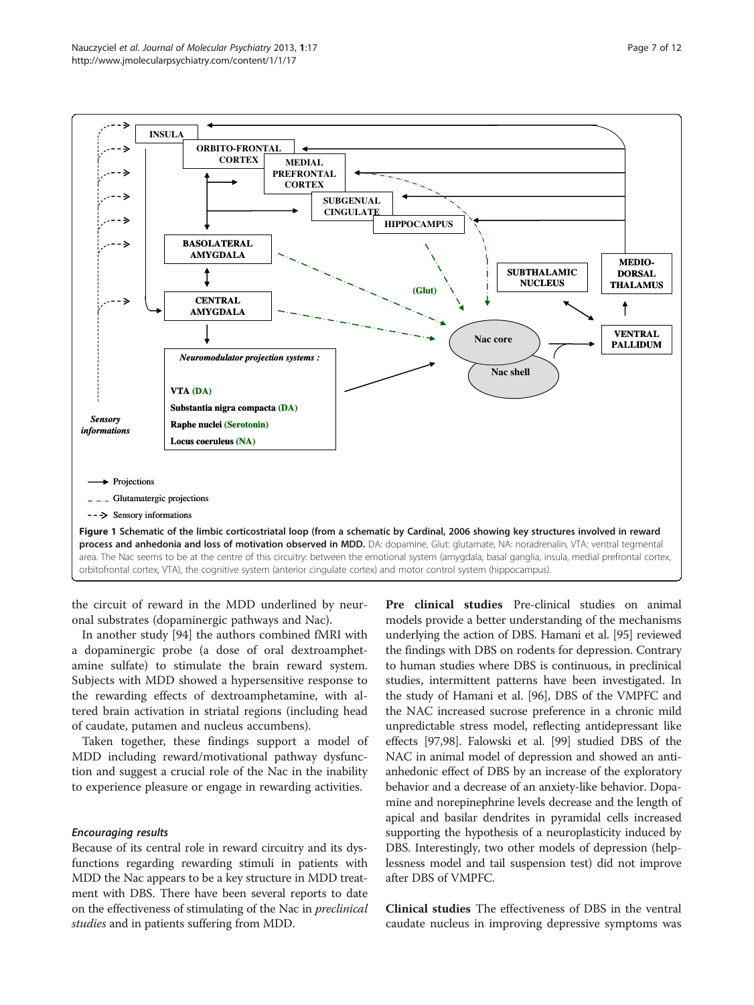<span id="page-6-0"></span>

the circuit of reward in the MDD underlined by neuronal substrates (dopaminergic pathways and Nac).

In another study [\[94\]](#page-10-0) the authors combined fMRI with a dopaminergic probe (a dose of oral dextroamphetamine sulfate) to stimulate the brain reward system. Subjects with MDD showed a hypersensitive response to the rewarding effects of dextroamphetamine, with altered brain activation in striatal regions (including head of caudate, putamen and nucleus accumbens).

Taken together, these findings support a model of MDD including reward/motivational pathway dysfunction and suggest a crucial role of the Nac in the inability to experience pleasure or engage in rewarding activities.

#### Encouraging results

Because of its central role in reward circuitry and its dysfunctions regarding rewarding stimuli in patients with MDD the Nac appears to be a key structure in MDD treatment with DBS. There have been several reports to date on the effectiveness of stimulating of the Nac in preclinical studies and in patients suffering from MDD.

Pre clinical studies Pre-clinical studies on animal models provide a better understanding of the mechanisms underlying the action of DBS. Hamani et al. [\[95](#page-10-0)] reviewed the findings with DBS on rodents for depression. Contrary to human studies where DBS is continuous, in preclinical studies, intermittent patterns have been investigated. In the study of Hamani et al. [\[96\]](#page-10-0), DBS of the VMPFC and the NAC increased sucrose preference in a chronic mild unpredictable stress model, reflecting antidepressant like effects [\[97,98\]](#page-10-0). Falowski et al. [\[99](#page-10-0)] studied DBS of the NAC in animal model of depression and showed an antianhedonic effect of DBS by an increase of the exploratory behavior and a decrease of an anxiety-like behavior. Dopamine and norepinephrine levels decrease and the length of apical and basilar dendrites in pyramidal cells increased supporting the hypothesis of a neuroplasticity induced by DBS. Interestingly, two other models of depression (helplessness model and tail suspension test) did not improve after DBS of VMPFC.

Clinical studies The effectiveness of DBS in the ventral caudate nucleus in improving depressive symptoms was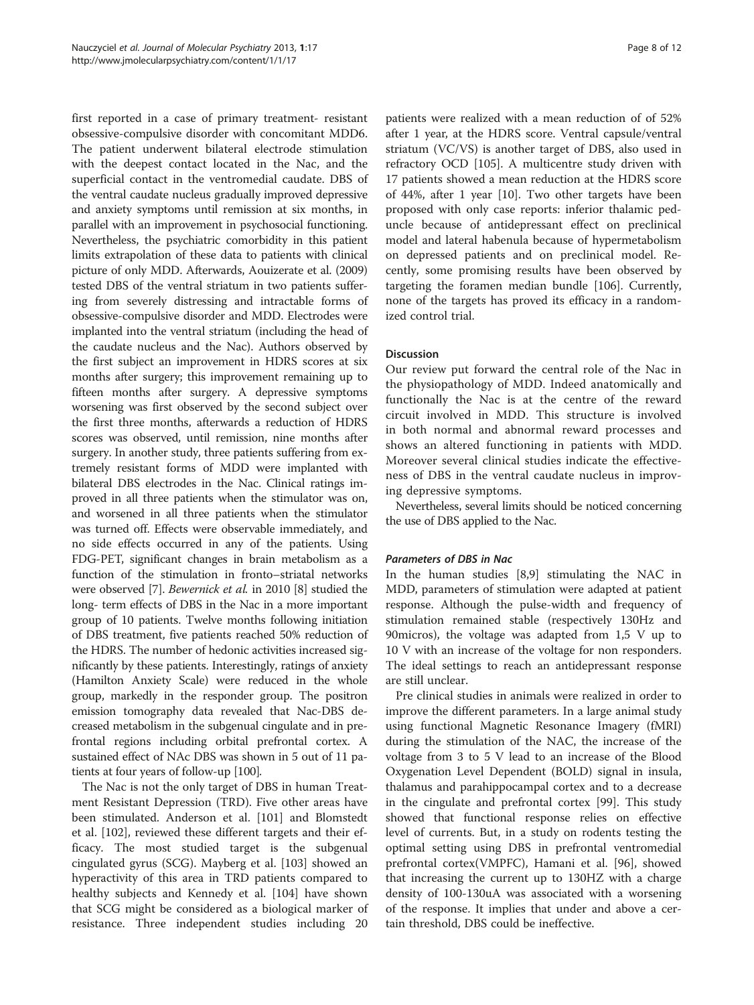first reported in a case of primary treatment- resistant obsessive-compulsive disorder with concomitant MDD6. The patient underwent bilateral electrode stimulation with the deepest contact located in the Nac, and the superficial contact in the ventromedial caudate. DBS of the ventral caudate nucleus gradually improved depressive and anxiety symptoms until remission at six months, in parallel with an improvement in psychosocial functioning. Nevertheless, the psychiatric comorbidity in this patient limits extrapolation of these data to patients with clinical picture of only MDD. Afterwards, Aouizerate et al. (2009) tested DBS of the ventral striatum in two patients suffering from severely distressing and intractable forms of obsessive-compulsive disorder and MDD. Electrodes were implanted into the ventral striatum (including the head of the caudate nucleus and the Nac). Authors observed by the first subject an improvement in HDRS scores at six months after surgery; this improvement remaining up to fifteen months after surgery. A depressive symptoms worsening was first observed by the second subject over the first three months, afterwards a reduction of HDRS scores was observed, until remission, nine months after surgery. In another study, three patients suffering from extremely resistant forms of MDD were implanted with bilateral DBS electrodes in the Nac. Clinical ratings improved in all three patients when the stimulator was on, and worsened in all three patients when the stimulator was turned off. Effects were observable immediately, and no side effects occurred in any of the patients. Using FDG-PET, significant changes in brain metabolism as a function of the stimulation in fronto–striatal networks were observed [\[7](#page-9-0)]. Bewernick et al. in 2010 [\[8](#page-9-0)] studied the long- term effects of DBS in the Nac in a more important group of 10 patients. Twelve months following initiation of DBS treatment, five patients reached 50% reduction of the HDRS. The number of hedonic activities increased significantly by these patients. Interestingly, ratings of anxiety (Hamilton Anxiety Scale) were reduced in the whole group, markedly in the responder group. The positron emission tomography data revealed that Nac-DBS decreased metabolism in the subgenual cingulate and in prefrontal regions including orbital prefrontal cortex. A sustained effect of NAc DBS was shown in 5 out of 11 patients at four years of follow-up [[100](#page-10-0)].

The Nac is not the only target of DBS in human Treatment Resistant Depression (TRD). Five other areas have been stimulated. Anderson et al. [\[101\]](#page-10-0) and Blomstedt et al. [\[102\]](#page-10-0), reviewed these different targets and their efficacy. The most studied target is the subgenual cingulated gyrus (SCG). Mayberg et al. [\[103\]](#page-10-0) showed an hyperactivity of this area in TRD patients compared to healthy subjects and Kennedy et al. [\[104\]](#page-10-0) have shown that SCG might be considered as a biological marker of resistance. Three independent studies including 20

patients were realized with a mean reduction of of 52% after 1 year, at the HDRS score. Ventral capsule/ventral striatum (VC/VS) is another target of DBS, also used in refractory OCD [[105](#page-10-0)]. A multicentre study driven with 17 patients showed a mean reduction at the HDRS score of 44%, after 1 year [[10](#page-9-0)]. Two other targets have been proposed with only case reports: inferior thalamic peduncle because of antidepressant effect on preclinical model and lateral habenula because of hypermetabolism on depressed patients and on preclinical model. Recently, some promising results have been observed by targeting the foramen median bundle [\[106](#page-10-0)]. Currently, none of the targets has proved its efficacy in a randomized control trial.

## Discussion

Our review put forward the central role of the Nac in the physiopathology of MDD. Indeed anatomically and functionally the Nac is at the centre of the reward circuit involved in MDD. This structure is involved in both normal and abnormal reward processes and shows an altered functioning in patients with MDD. Moreover several clinical studies indicate the effectiveness of DBS in the ventral caudate nucleus in improving depressive symptoms.

Nevertheless, several limits should be noticed concerning the use of DBS applied to the Nac.

#### Parameters of DBS in Nac

In the human studies [\[8,9\]](#page-9-0) stimulating the NAC in MDD, parameters of stimulation were adapted at patient response. Although the pulse-width and frequency of stimulation remained stable (respectively 130Hz and 90micros), the voltage was adapted from 1,5 V up to 10 V with an increase of the voltage for non responders. The ideal settings to reach an antidepressant response are still unclear.

Pre clinical studies in animals were realized in order to improve the different parameters. In a large animal study using functional Magnetic Resonance Imagery (fMRI) during the stimulation of the NAC, the increase of the voltage from 3 to 5 V lead to an increase of the Blood Oxygenation Level Dependent (BOLD) signal in insula, thalamus and parahippocampal cortex and to a decrease in the cingulate and prefrontal cortex [\[99](#page-10-0)]. This study showed that functional response relies on effective level of currents. But, in a study on rodents testing the optimal setting using DBS in prefrontal ventromedial prefrontal cortex(VMPFC), Hamani et al. [\[96](#page-10-0)], showed that increasing the current up to 130HZ with a charge density of 100-130uA was associated with a worsening of the response. It implies that under and above a certain threshold, DBS could be ineffective.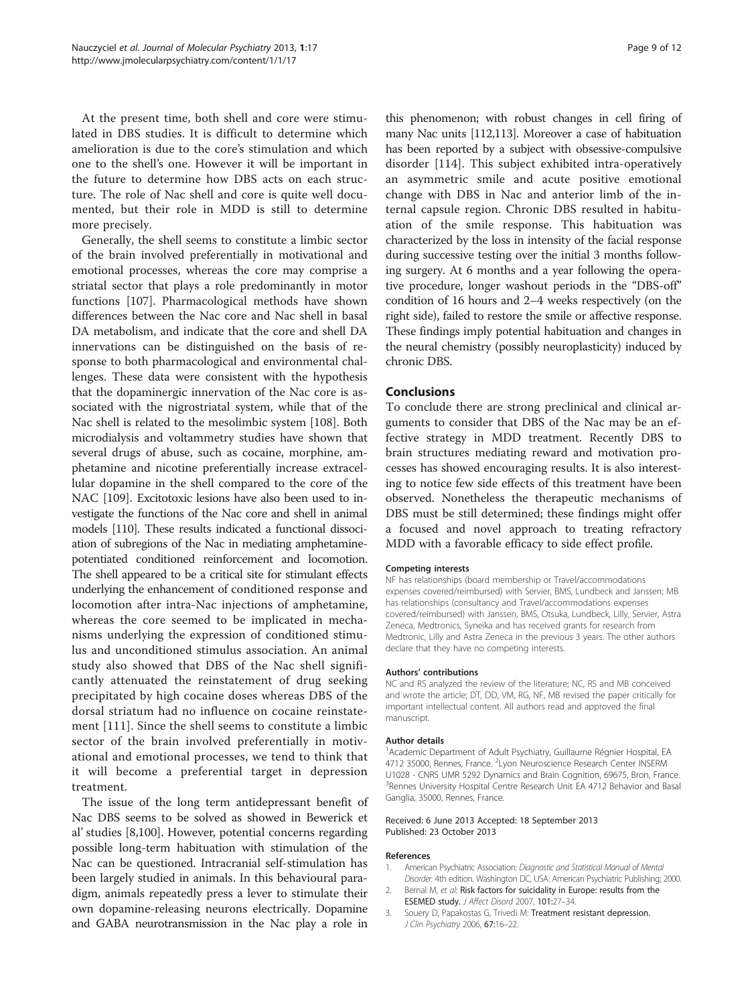<span id="page-8-0"></span>At the present time, both shell and core were stimulated in DBS studies. It is difficult to determine which amelioration is due to the core's stimulation and which one to the shell's one. However it will be important in the future to determine how DBS acts on each structure. The role of Nac shell and core is quite well documented, but their role in MDD is still to determine more precisely.

Generally, the shell seems to constitute a limbic sector of the brain involved preferentially in motivational and emotional processes, whereas the core may comprise a striatal sector that plays a role predominantly in motor functions [[107\]](#page-10-0). Pharmacological methods have shown differences between the Nac core and Nac shell in basal DA metabolism, and indicate that the core and shell DA innervations can be distinguished on the basis of response to both pharmacological and environmental challenges. These data were consistent with the hypothesis that the dopaminergic innervation of the Nac core is associated with the nigrostriatal system, while that of the Nac shell is related to the mesolimbic system [\[108\]](#page-10-0). Both microdialysis and voltammetry studies have shown that several drugs of abuse, such as cocaine, morphine, amphetamine and nicotine preferentially increase extracellular dopamine in the shell compared to the core of the NAC [[109](#page-10-0)]. Excitotoxic lesions have also been used to investigate the functions of the Nac core and shell in animal models [[110\]](#page-11-0). These results indicated a functional dissociation of subregions of the Nac in mediating amphetaminepotentiated conditioned reinforcement and locomotion. The shell appeared to be a critical site for stimulant effects underlying the enhancement of conditioned response and locomotion after intra-Nac injections of amphetamine, whereas the core seemed to be implicated in mechanisms underlying the expression of conditioned stimulus and unconditioned stimulus association. An animal study also showed that DBS of the Nac shell significantly attenuated the reinstatement of drug seeking precipitated by high cocaine doses whereas DBS of the dorsal striatum had no influence on cocaine reinstatement [[111\]](#page-11-0). Since the shell seems to constitute a limbic sector of the brain involved preferentially in motivational and emotional processes, we tend to think that it will become a preferential target in depression treatment.

The issue of the long term antidepressant benefit of Nac DBS seems to be solved as showed in Bewerick et al' studies [\[8](#page-9-0)[,100\]](#page-10-0). However, potential concerns regarding possible long-term habituation with stimulation of the Nac can be questioned. Intracranial self-stimulation has been largely studied in animals. In this behavioural paradigm, animals repeatedly press a lever to stimulate their own dopamine-releasing neurons electrically. Dopamine and GABA neurotransmission in the Nac play a role in this phenomenon; with robust changes in cell firing of many Nac units [[112,113](#page-11-0)]. Moreover a case of habituation has been reported by a subject with obsessive-compulsive disorder [[114\]](#page-11-0). This subject exhibited intra-operatively an asymmetric smile and acute positive emotional change with DBS in Nac and anterior limb of the internal capsule region. Chronic DBS resulted in habituation of the smile response. This habituation was characterized by the loss in intensity of the facial response during successive testing over the initial 3 months following surgery. At 6 months and a year following the operative procedure, longer washout periods in the "DBS-off" condition of 16 hours and 2–4 weeks respectively (on the right side), failed to restore the smile or affective response. These findings imply potential habituation and changes in the neural chemistry (possibly neuroplasticity) induced by chronic DBS.

#### **Conclusions**

To conclude there are strong preclinical and clinical arguments to consider that DBS of the Nac may be an effective strategy in MDD treatment. Recently DBS to brain structures mediating reward and motivation processes has showed encouraging results. It is also interesting to notice few side effects of this treatment have been observed. Nonetheless the therapeutic mechanisms of DBS must be still determined; these findings might offer a focused and novel approach to treating refractory MDD with a favorable efficacy to side effect profile.

#### Competing interests

NF has relationships (board membership or Travel/accommodations expenses covered/reimbursed) with Servier, BMS, Lundbeck and Janssen; MB has relationships (consultancy and Travel/accommodations expenses covered/reimbursed) with Janssen, BMS, Otsuka, Lundbeck, Lilly, Servier, Astra Zeneca, Medtronics, Syneïka and has received grants for research from Medtronic, Lilly and Astra Zeneca in the previous 3 years. The other authors declare that they have no competing interests.

#### Authors' contributions

NC and RS analyzed the review of the literature; NC, RS and MB conceived and wrote the article; DT, DD, VM, RG, NF, MB revised the paper critically for important intellectual content. All authors read and approved the final manuscript.

#### Author details

<sup>1</sup> Academic Department of Adult Psychiatry, Guillaume Régnier Hospital, EA 4712 35000, Rennes, France. <sup>2</sup>Lyon Neuroscience Research Center INSERM U1028 - CNRS UMR 5292 Dynamics and Brain Cognition, 69675, Bron, France. <sup>3</sup> Rennes University Hospital Centre Research Unit EA 4712 Behavior and Basal Ganglia, 35000, Rennes, France.

#### Received: 6 June 2013 Accepted: 18 September 2013 Published: 23 October 2013

#### References

- 1. American Psychiatric Association: Diagnostic and Statistical Manual of Mental Disorder. 4th edition. Washington DC, USA: American Psychiatric Publishing; 2000.
- 2. Bernal M, et al: Risk factors for suicidality in Europe: results from the ESEMED study. J Affect Disord 2007, 101:27–34.
- 3. Souery D, Papakostas G, Trivedi M: Treatment resistant depression. J Clin Psychiatry 2006, 67:16–22.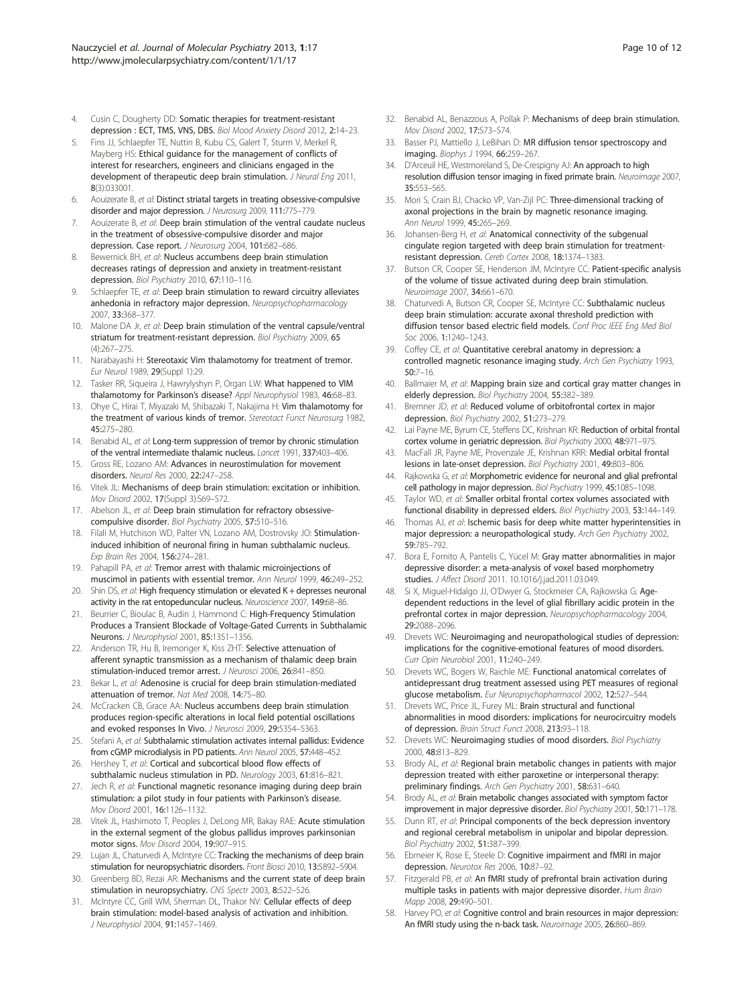- <span id="page-9-0"></span>4. Cusin C, Dougherty DD: Somatic therapies for treatment-resistant depression : ECT, TMS, VNS, DBS. Biol Mood Anxiety Disord 2012, 2:14–23.
- 5. Fins JJ, Schlaepfer TE, Nuttin B, Kubu CS, Galert T, Sturm V, Merkel R, Mayberg HS: Ethical guidance for the management of conflicts of interest for researchers, engineers and clinicians engaged in the development of therapeutic deep brain stimulation. J Neural Eng 2011, 8(3):033001.
- 6. Aouizerate B, et al: Distinct striatal targets in treating obsessive-compulsive disorder and major depression. J Neurosurg 2009, 111:775–779.
- 7. Aouizerate B, et al: Deep brain stimulation of the ventral caudate nucleus in the treatment of obsessive-compulsive disorder and major depression. Case report. J Neurosurg 2004, 101:682-686.
- 8. Bewernick BH, et al: Nucleus accumbens deep brain stimulation decreases ratings of depression and anxiety in treatment-resistant depression. Biol Psychiatry 2010, 67:110–116.
- Schlaepfer TE, et al: Deep brain stimulation to reward circuitry alleviates anhedonia in refractory major depression. Neuropsychopharmacology 2007, 33:368–377.
- 10. Malone DA Jr, et al: Deep brain stimulation of the ventral capsule/ventral striatum for treatment-resistant depression. Biol Psychiatry 2009, 65 (4):267–275.
- 11. Narabayashi H: Stereotaxic Vim thalamotomy for treatment of tremor. Eur Neurol 1989, 29(Suppl 1):29.
- 12. Tasker RR, Siqueira J, Hawrylyshyn P, Organ LW: What happened to VIM thalamotomy for Parkinson's disease? Appl Neurophysiol 1983, 46:68–83.
- 13. Ohye C, Hirai T, Miyazaki M, Shibazaki T, Nakajima H: Vim thalamotomy for the treatment of various kinds of tremor. Stereotact Funct Neurosurg 1982, 45:275–280.
- 14. Benabid AL, et al: Long-term suppression of tremor by chronic stimulation of the ventral intermediate thalamic nucleus. Lancet 1991, 337:403–406.
- 15. Gross RE, Lozano AM: Advances in neurostimulation for movement disorders. Neurol Res 2000, 22:247–258.
- 16. Vitek JL: Mechanisms of deep brain stimulation: excitation or inhibition. Mov Disord 2002, 17(Suppl 3):S69–S72.
- 17. Abelson JL, et al: Deep brain stimulation for refractory obsessivecompulsive disorder. Biol Psychiatry 2005, 57:510–516.
- 18. Filali M, Hutchison WD, Palter VN, Lozano AM, Dostrovsky JO: Stimulationinduced inhibition of neuronal firing in human subthalamic nucleus. Exp Brain Res 2004, 156:274–281.
- 19. Pahapill PA, et al: Tremor arrest with thalamic microinjections of muscimol in patients with essential tremor. Ann Neurol 1999, 46:249–252.
- 20. Shin DS, et al: High frequency stimulation or elevated K + depresses neuronal activity in the rat entopeduncular nucleus. Neuroscience 2007, 149:68–86.
- 21. Beurrier C, Bioulac B, Audin J, Hammond C: High-Frequency Stimulation Produces a Transient Blockade of Voltage-Gated Currents in Subthalamic Neurons. J Neurophysiol 2001, 85:1351–1356.
- 22. Anderson TR, Hu B, Iremonger K, Kiss ZHT: Selective attenuation of afferent synaptic transmission as a mechanism of thalamic deep brain stimulation-induced tremor arrest. J Neurosci 2006, 26:841–850.
- 23. Bekar L, et al: Adenosine is crucial for deep brain stimulation-mediated attenuation of tremor. Nat Med 2008, 14:75–80.
- 24. McCracken CB, Grace AA: Nucleus accumbens deep brain stimulation produces region-specific alterations in local field potential oscillations and evoked responses In Vivo. J Neurosci 2009, 29:5354-5363.
- 25. Stefani A, et al: Subthalamic stimulation activates internal pallidus: Evidence from cGMP microdialysis in PD patients. Ann Neurol 2005, 57:448–452.
- 26. Hershey T, et al: Cortical and subcortical blood flow effects of subthalamic nucleus stimulation in PD. Neurology 2003, 61:816–821.
- 27. Jech R, et al: Functional magnetic resonance imaging during deep brain stimulation: a pilot study in four patients with Parkinson's disease. Mov Disord 2001, 16:1126–1132.
- 28. Vitek JL, Hashimoto T, Peoples J, DeLong MR, Bakay RAE: Acute stimulation in the external segment of the globus pallidus improves parkinsonian motor signs. Mov Disord 2004, 19:907–915.
- 29. Lujan JL, Chaturvedi A, McIntyre CC: Tracking the mechanisms of deep brain stimulation for neuropsychiatric disorders. Front Biosci 2010, 13:5892–5904.
- 30. Greenberg BD, Rezai AR: Mechanisms and the current state of deep brain stimulation in neuropsychiatry. CNS Spectr 2003, 8:522–526.
- 31. McIntyre CC, Grill WM, Sherman DL, Thakor NV: Cellular effects of deep brain stimulation: model-based analysis of activation and inhibition. J Neurophysiol 2004, 91:1457–1469.
- 32. Benabid AL, Benazzous A, Pollak P: Mechanisms of deep brain stimulation. Mov Disord 2002, 17:S73–S74.
- 33. Basser PJ, Mattiello J, LeBihan D: MR diffusion tensor spectroscopy and imaging. Biophys J 1994, 66:259-267.
- 34. D'Arceuil HE, Westmoreland S, De-Crespigny AJ: An approach to high resolution diffusion tensor imaging in fixed primate brain. Neuroimage 2007, 35:553–565.
- 35. Mori S, Crain BJ, Chacko VP, Van-Zijl PC: Three-dimensional tracking of axonal projections in the brain by magnetic resonance imaging. Ann Neurol 1999, 45:265–269.
- 36. Johansen-Berg H, et al: Anatomical connectivity of the subgenual cingulate region targeted with deep brain stimulation for treatmentresistant depression. Cereb Cortex 2008, 18:1374–1383.
- 37. Butson CR, Cooper SE, Henderson JM, McIntyre CC: Patient-specific analysis of the volume of tissue activated during deep brain stimulation. Neuroimage 2007, 34:661–670.
- 38. Chaturvedi A, Butson CR, Cooper SE, McIntyre CC: Subthalamic nucleus deep brain stimulation: accurate axonal threshold prediction with diffusion tensor based electric field models. Conf Proc IEEE Eng Med Biol Soc 2006, 1:1240–1243.
- 39. Coffey CE, et al: Quantitative cerebral anatomy in depression: a controlled magnetic resonance imaging study. Arch Gen Psychiatry 1993, 50:7–16.
- 40. Ballmaier M, et al: Mapping brain size and cortical gray matter changes in elderly depression. Biol Psychiatry 2004, 55:382–389.
- 41. Bremner JD, et al: Reduced volume of orbitofrontal cortex in major depression. Biol Psychiatry 2002, 51:273–279.
- 42. Lai Payne ME, Byrum CE, Steffens DC, Krishnan KR: Reduction of orbital frontal cortex volume in geriatric depression. Biol Psychiatry 2000, 48:971-975.
- 43. MacFall JR, Payne ME, Provenzale JE, Krishnan KRR: Medial orbital frontal lesions in late-onset depression. Biol Psychiatry 2001, 49:803–806.
- 44. Rajkowska G, et al: Morphometric evidence for neuronal and glial prefrontal cell pathology in major depression. Biol Psychiatry 1999, 45:1085-1098.
- 45. Taylor WD, et al: Smaller orbital frontal cortex volumes associated with functional disability in depressed elders. Biol Psychiatry 2003, 53:144–149.
- 46. Thomas AJ, et al: Ischemic basis for deep white matter hyperintensities in major depression: a neuropathological study. Arch Gen Psychiatry 2002, 59:785–792.
- 47. Bora E, Fornito A, Pantelis C, Yücel M: Gray matter abnormalities in major depressive disorder: a meta-analysis of voxel based morphometry studies. J Affect Disord 2011. 10.1016/j.jad.2011.03.049.
- 48. Si X, Miguel-Hidalgo JJ, O'Dwyer G, Stockmeier CA, Rajkowska G: Agedependent reductions in the level of glial fibrillary acidic protein in the prefrontal cortex in major depression. Neuropsychopharmacology 2004, 29:2088–2096.
- 49. Drevets WC: Neuroimaging and neuropathological studies of depression: implications for the cognitive-emotional features of mood disorders. Curr Opin Neurobiol 2001, 11:240–249.
- 50. Drevets WC, Bogers W, Raichle ME: Functional anatomical correlates of antidepressant drug treatment assessed using PET measures of regional glucose metabolism. Eur Neuropsychopharmacol 2002, 12:527–544.
- 51. Drevets WC, Price JL, Furey ML: Brain structural and functional abnormalities in mood disorders: implications for neurocircuitry models of depression. Brain Struct Funct 2008, 213:93–118.
- 52. Drevets WC: Neuroimaging studies of mood disorders. Biol Psychiatry 2000, 48:813–829.
- 53. Brody AL, et al: Regional brain metabolic changes in patients with major depression treated with either paroxetine or interpersonal therapy: preliminary findings. Arch Gen Psychiatry 2001, 58:631–640.
- Brody AL, et al: Brain metabolic changes associated with symptom factor improvement in major depressive disorder. Biol Psychiatry 2001, 50:171–178.
- 55. Dunn RT, et al: Principal components of the beck depression inventory and regional cerebral metabolism in unipolar and bipolar depression. Biol Psychiatry 2002, 51:387–399.
- 56. Ebmeier K, Rose E, Steele D: Cognitive impairment and fMRI in major depression. Neurotox Res 2006, 10:87–92.
- 57. Fitzgerald PB, et al: An fMRI study of prefrontal brain activation during multiple tasks in patients with major depressive disorder. Hum Brain Mapp 2008, 29:490–501.
- 58. Harvey PO, et al: Cognitive control and brain resources in major depression: An fMRI study using the n-back task. Neuroimage 2005, 26:860–869.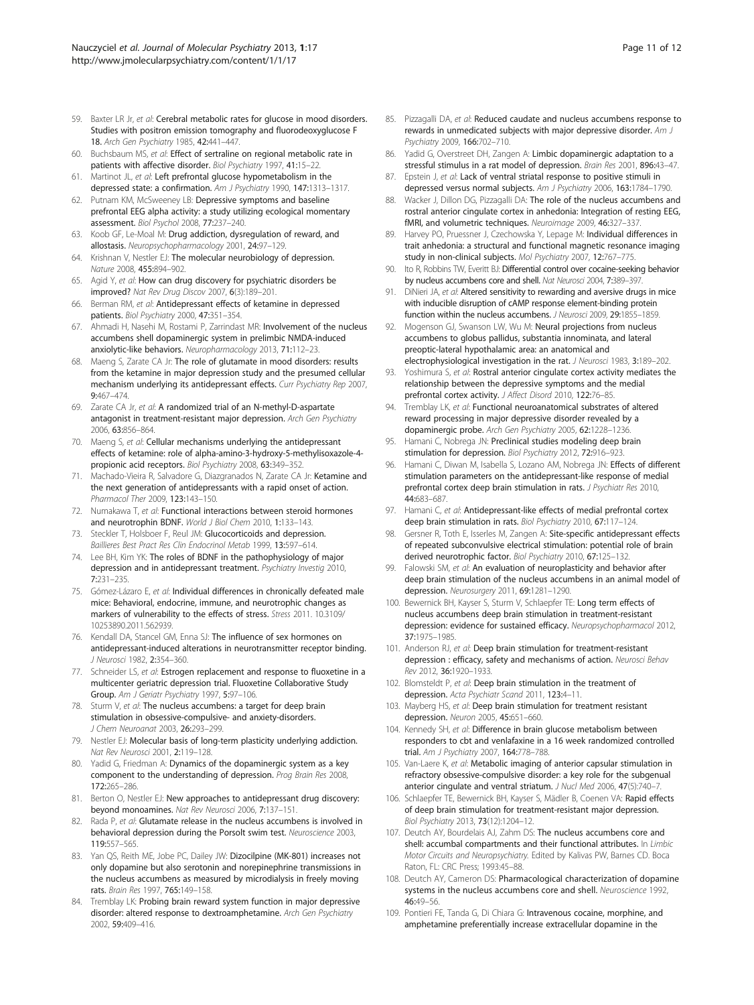- <span id="page-10-0"></span>59. Baxter LR Jr, et al: Cerebral metabolic rates for glucose in mood disorders. Studies with positron emission tomography and fluorodeoxyglucose F 18. Arch Gen Psychiatry 1985, 42:441–447.
- 60. Buchsbaum MS, et al: Effect of sertraline on regional metabolic rate in patients with affective disorder. Biol Psychiatry 1997, 41:15-22.
- 61. Martinot JL, et al: Left prefrontal glucose hypometabolism in the depressed state: a confirmation. Am J Psychiatry 1990, 147:1313-1317.
- 62. Putnam KM, McSweeney LB: Depressive symptoms and baseline prefrontal EEG alpha activity: a study utilizing ecological momentary assessment. Biol Psychol 2008, 77:237–240.
- Koob GF, Le-Moal M: Drug addiction, dysregulation of reward, and allostasis. Neuropsychopharmacology 2001, 24:97–129.
- 64. Krishnan V, Nestler EJ: The molecular neurobiology of depression. Nature 2008, 455:894–902.
- 65. Agid Y, et al: How can drug discovery for psychiatric disorders be improved? Nat Rev Drug Discov 2007, 6(3):189–201.
- 66. Berman RM, et al: Antidepressant effects of ketamine in depressed patients. Biol Psychiatry 2000, 47:351–354.
- 67. Ahmadi H, Nasehi M, Rostami P, Zarrindast MR: Involvement of the nucleus accumbens shell dopaminergic system in prelimbic NMDA-induced anxiolytic-like behaviors. Neuropharmacology 2013, 71:112–23.
- 68. Maeng S, Zarate CA Jr: The role of glutamate in mood disorders: results from the ketamine in major depression study and the presumed cellular mechanism underlying its antidepressant effects. Curr Psychiatry Rep 2007, 9:467–474.
- 69. Zarate CA Jr, et al: A randomized trial of an N-methyl-D-aspartate antagonist in treatment-resistant major depression. Arch Gen Psychiatry 2006, 63:856–864.
- 70. Maeng S, et al: Cellular mechanisms underlying the antidepressant effects of ketamine: role of alpha-amino-3-hydroxy-5-methylisoxazole-4 propionic acid receptors. Biol Psychiatry 2008, 63:349-352.
- 71. Machado-Vieira R, Salvadore G, Diazgranados N, Zarate CA Jr: Ketamine and the next generation of antidepressants with a rapid onset of action. Pharmacol Ther 2009, 123:143–150.
- 72. Numakawa T, et al: Functional interactions between steroid hormones and neurotrophin BDNF. World J Biol Chem 2010, 1:133–143.
- 73. Steckler T, Holsboer F, Reul JM: Glucocorticoids and depression. Baillieres Best Pract Res Clin Endocrinol Metab 1999, 13:597–614.
- 74. Lee BH, Kim YK: The roles of BDNF in the pathophysiology of major depression and in antidepressant treatment. Psychiatry Investig 2010, 7:231–235.
- 75. Gómez-Lázaro E, et al: Individual differences in chronically defeated male mice: Behavioral, endocrine, immune, and neurotrophic changes as markers of vulnerability to the effects of stress. Stress 2011. 10.3109/ 10253890.2011.562939.
- 76. Kendall DA, Stancel GM, Enna SJ: The influence of sex hormones on antidepressant-induced alterations in neurotransmitter receptor binding. J Neurosci 1982, 2:354–360.
- 77. Schneider LS, et al: Estrogen replacement and response to fluoxetine in a multicenter geriatric depression trial. Fluoxetine Collaborative Study Group. Am J Geriatr Psychiatry 1997, 5:97–106.
- 78. Sturm V, et al: The nucleus accumbens: a target for deep brain stimulation in obsessive-compulsive- and anxiety-disorders. J Chem Neuroanat 2003, 26:293–299.
- 79. Nestler EJ: Molecular basis of long-term plasticity underlying addiction. Nat Rev Neurosci 2001, 2:119–128.
- 80. Yadid G, Friedman A: Dynamics of the dopaminergic system as a key component to the understanding of depression. Prog Brain Res 2008, 172:265–286.
- 81. Berton O, Nestler EJ: New approaches to antidepressant drug discovery: beyond monoamines. Nat Rev Neurosci 2006, 7:137–151.
- 82. Rada P, et al: Glutamate release in the nucleus accumbens is involved in behavioral depression during the Porsolt swim test. Neuroscience 2003, 119:557–565.
- 83. Yan QS, Reith ME, Jobe PC, Dailey JW: Dizocilpine (MK-801) increases not only dopamine but also serotonin and norepinephrine transmissions in the nucleus accumbens as measured by microdialysis in freely moving rats. Brain Res 1997, 765:149–158.
- 84. Tremblay LK: Probing brain reward system function in major depressive disorder: altered response to dextroamphetamine. Arch Gen Psychiatry 2002, 59:409–416.
- 85. Pizzagalli DA, et al: Reduced caudate and nucleus accumbens response to rewards in unmedicated subjects with major depressive disorder. Am J Psychiatry 2009, 166:702–710.
- 86. Yadid G, Overstreet DH, Zangen A: Limbic dopaminergic adaptation to a stressful stimulus in a rat model of depression. Brain Res 2001, 896:43–47.
- 87. Epstein J, et al: Lack of ventral striatal response to positive stimuli in depressed versus normal subjects. Am J Psychiatry 2006, 163:1784-1790.
- 88. Wacker J, Dillon DG, Pizzagalli DA: The role of the nucleus accumbens and rostral anterior cingulate cortex in anhedonia: Integration of resting EEG, fMRI, and volumetric techniques. Neuroimage 2009, 46:327–337.
- 89. Harvey PO, Pruessner J, Czechowska Y, Lepage M: Individual differences in trait anhedonia: a structural and functional magnetic resonance imaging study in non-clinical subjects. Mol Psychiatry 2007, 12:767–775.
- 90. Ito R, Robbins TW, Everitt BJ: Differential control over cocaine-seeking behavior by nucleus accumbens core and shell. Nat Neurosci 2004, 7:389-397.
- 91. DiNieri JA, et al: Altered sensitivity to rewarding and aversive drugs in mice with inducible disruption of cAMP response element-binding protein function within the nucleus accumbens. J Neurosci 2009, 29:1855-1859.
- 92. Mogenson GJ, Swanson LW, Wu M: Neural projections from nucleus accumbens to globus pallidus, substantia innominata, and lateral preoptic-lateral hypothalamic area: an anatomical and
- electrophysiological investigation in the rat. J Neurosci 1983, 3:189-202. 93. Yoshimura S, et al: Rostral anterior cingulate cortex activity mediates the relationship between the depressive symptoms and the medial prefrontal cortex activity. J Affect Disord 2010, 122:76–85.
- 94. Tremblay LK, et al: Functional neuroanatomical substrates of altered reward processing in major depressive disorder revealed by a dopaminergic probe. Arch Gen Psychiatry 2005, 62:1228-1236
- Hamani C, Nobrega JN: Preclinical studies modeling deep brain stimulation for depression. Biol Psychiatry 2012, 72:916-923.
- 96. Hamani C, Diwan M, Isabella S, Lozano AM, Nobrega JN: Effects of different stimulation parameters on the antidepressant-like response of medial prefrontal cortex deep brain stimulation in rats. J Psychiatr Res 2010, 44:683–687.
- 97. Hamani C, et al: Antidepressant-like effects of medial prefrontal cortex deep brain stimulation in rats. Biol Psychiatry 2010, 67:117-124
- 98. Gersner R, Toth E, Isserles M, Zangen A: Site-specific antidepressant effects of repeated subconvulsive electrical stimulation: potential role of brain derived neurotrophic factor. Biol Psychiatry 2010, 67:125–132.
- 99. Falowski SM, et al: An evaluation of neuroplasticity and behavior after deep brain stimulation of the nucleus accumbens in an animal model of depression. Neurosurgery 2011, 69:1281-1290.
- 100. Bewernick BH, Kayser S, Sturm V, Schlaepfer TE: Long term effects of nucleus accumbens deep brain stimulation in treatment-resistant depression: evidence for sustained efficacy. Neuropsychopharmacol 2012, 37:1975–1985.
- 101. Anderson RJ, et al: Deep brain stimulation for treatment-resistant depression : efficacy, safety and mechanisms of action. Neurosci Behav Rev 2012, 36:1920–1933.
- 102. Blomsteldt P, et al: Deep brain stimulation in the treatment of depression. Acta Psychiatr Scand 2011, 123:4–11.
- 103. Mayberg HS, et al: Deep brain stimulation for treatment resistant depression. Neuron 2005, 45:651–660.
- 104. Kennedy SH, et al: Difference in brain glucose metabolism between responders to cbt and venlafaxine in a 16 week randomized controlled trial. Am J Psychiatry 2007, 164:778-788.
- 105. Van-Laere K, et al: Metabolic imaging of anterior capsular stimulation in refractory obsessive-compulsive disorder: a key role for the subgenual anterior cingulate and ventral striatum. J Nucl Med 2006, 47(5):740-7
- 106. Schlaepfer TE, Bewernick BH, Kayser S, Mädler B, Coenen VA: Rapid effects of deep brain stimulation for treatment-resistant major depression. Biol Psychiatry 2013, 73(12):1204–12.
- 107. Deutch AY, Bourdelais AJ, Zahm DS: The nucleus accumbens core and shell: accumbal compartments and their functional attributes. In Limbic Motor Circuits and Neuropsychiatry. Edited by Kalivas PW, Barnes CD. Boca Raton, FL: CRC Press; 1993:45–88.
- 108. Deutch AY, Cameron DS: Pharmacological characterization of dopamine systems in the nucleus accumbens core and shell. Neuroscience 1992, 46:49–56.
- 109. Pontieri FE, Tanda G, Di Chiara G: Intravenous cocaine, morphine, and amphetamine preferentially increase extracellular dopamine in the